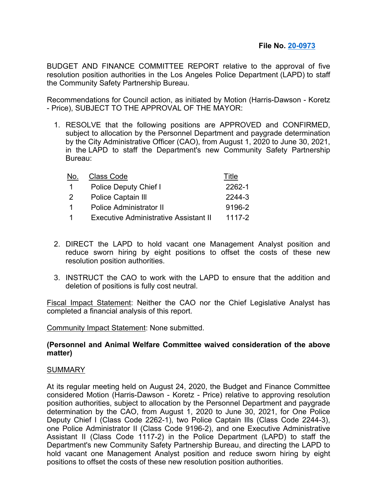BUDGET AND FINANCE COMMITTEE REPORT relative to the approval of five resolution position authorities in the Los Angeles Police Department (LAPD) to staff the Community Safety Partnership Bureau.

Recommendations for Council action, as initiated by Motion (Harris-Dawson - Koretz - Price), SUBJECT TO THE APPROVAL OF THE MAYOR:

1. RESOLVE that the following positions are APPROVED and CONFIRMED, subject to allocation by the Personnel Department and paygrade determination by the City Administrative Officer (CAO), from August 1, 2020 to June 30, 2021, in the LAPD to staff the Department's new Community Safety Partnership Bureau:

| <b>Class Code</b>                     | Title  |
|---------------------------------------|--------|
| Police Deputy Chief I                 | 2262-1 |
| Police Captain III                    | 2244-3 |
| <b>Police Administrator II</b>        | 9196-2 |
| Executive Administrative Assistant II | 1117-2 |
|                                       |        |

- 2. DIRECT the LAPD to hold vacant one Management Analyst position and reduce sworn hiring by eight positions to offset the costs of these new resolution position authorities.
- 3. INSTRUCT the CAO to work with the LAPD to ensure that the addition and deletion of positions is fully cost neutral.

Fiscal Impact Statement: Neither the CAO nor the Chief Legislative Analyst has completed a financial analysis of this report.

Community Impact Statement: None submitted.

## **(Personnel and Animal Welfare Committee waived consideration of the above matter)**

## SUMMARY

At its regular meeting held on August 24, 2020, the Budget and Finance Committee considered Motion (Harris-Dawson - Koretz - Price) relative to approving resolution position authorities, subject to allocation by the Personnel Department and paygrade determination by the CAO, from August 1, 2020 to June 30, 2021, for One Police Deputy Chief I (Class Code 2262-1), two Police Captain Ills (Class Code 2244-3), one Police Administrator II (Class Code 9196-2), and one Executive Administrative Assistant II (Class Code 1117-2) in the Police Department (LAPD) to staff the Department's new Community Safety Partnership Bureau, and directing the LAPD to hold vacant one Management Analyst position and reduce sworn hiring by eight positions to offset the costs of these new resolution position authorities.